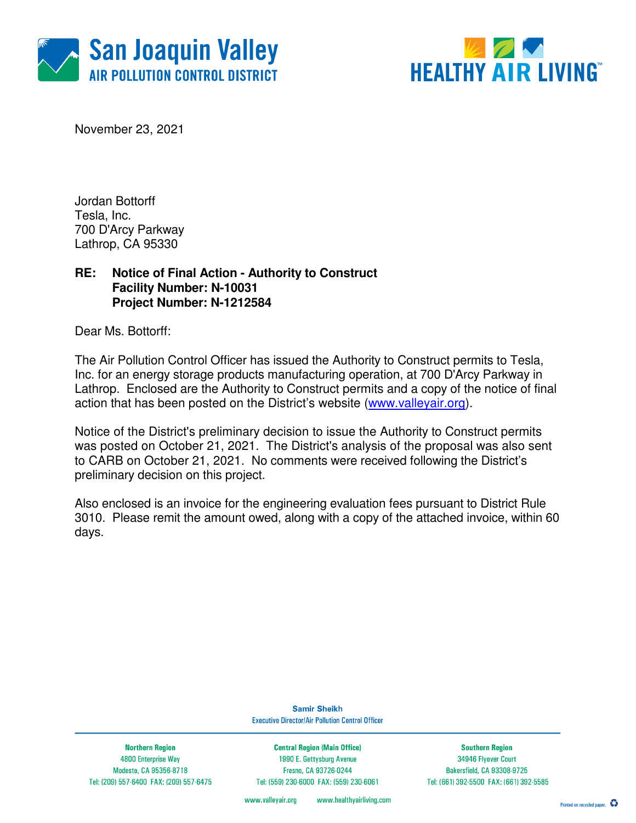



November 23, 2021

Jordan Bottorff Tesla, Inc. 700 D'Arcy Parkway Lathrop, CA 95330

### **RE: Notice of Final Action - Authority to Construct Facility Number: N-10031 Project Number: N-1212584**

Dear Ms. Bottorff:

The Air Pollution Control Officer has issued the Authority to Construct permits to Tesla, Inc. for an energy storage products manufacturing operation, at 700 D'Arcy Parkway in Lathrop. Enclosed are the Authority to Construct permits and a copy of the notice of final action that has been posted on the District's website (www.valleyair.org).

Notice of the District's preliminary decision to issue the Authority to Construct permits was posted on October 21, 2021. The District's analysis of the proposal was also sent to CARB on October 21, 2021. No comments were received following the District's preliminary decision on this project.

Also enclosed is an invoice for the engineering evaluation fees pursuant to District Rule 3010. Please remit the amount owed, along with a copy of the attached invoice, within 60 days.

> **Samir Sheikh Executive Director/Air Pollution Control Officer**

**Northern Region** 4800 Enterprise Way Modesto, CA 95356-8718 Tel: (209) 557-6400 FAX: (209) 557-6475

**Central Region (Main Office)** 1990 E. Gettysburg Avenue Fresno, CA 93726-0244 Tel: (559) 230-6000 FAX: (559) 230-6061

**Southern Region** 34946 Flyover Court Bakersfield, CA 93308-9725 Tel: (661) 392-5500 FAX: (661) 392-5585

www.healthyairliving.com www.valleyair.org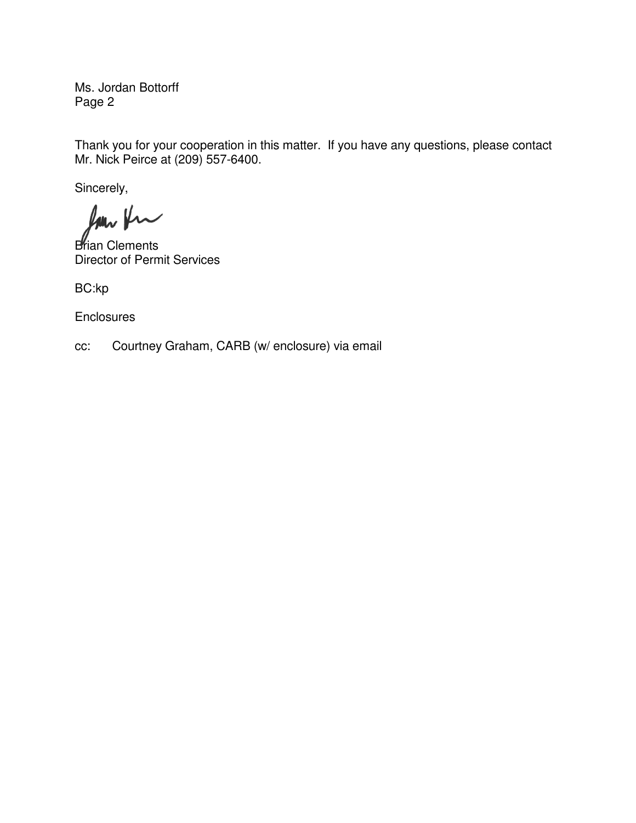Ms. Jordan Bottorff Page 2

Thank you for your cooperation in this matter. If you have any questions, please contact Mr. Nick Peirce at (209) 557-6400.

Sincerely,

Ram fra

**Brian Clements** Director of Permit Services

BC:kp

**Enclosures** 

cc: Courtney Graham, CARB (w/ enclosure) via email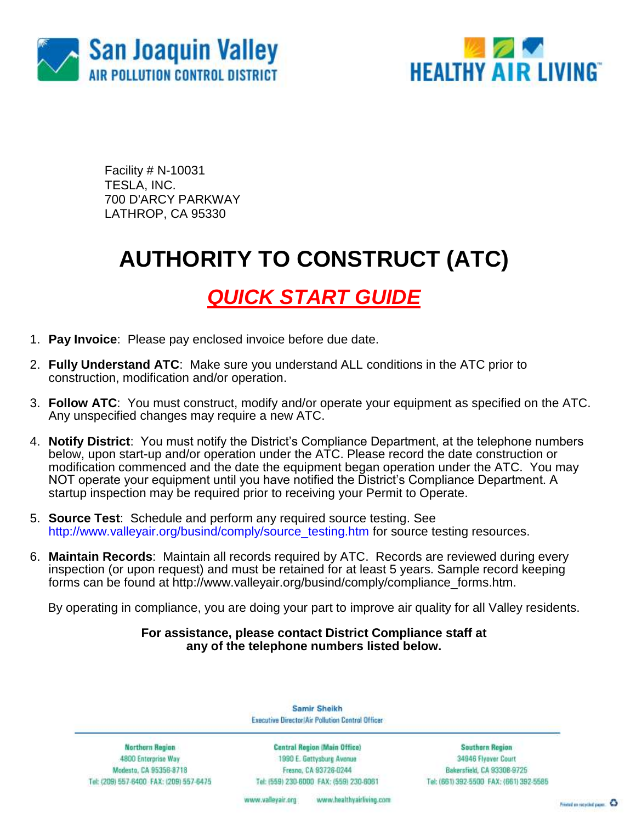



Facility # N-10031 TESLA, INC. 700 D'ARCY PARKWAY LATHROP, CA 95330

## **AUTHORITY TO CONSTRUCT (ATC)**

## *QUICK START GUIDE*

- 1. **Pay Invoice**: Please pay enclosed invoice before due date.
- 2. **Fully Understand ATC**: Make sure you understand ALL conditions in the ATC prior to construction, modification and/or operation.
- 3. **Follow ATC**: You must construct, modify and/or operate your equipment as specified on the ATC. Any unspecified changes may require a new ATC.
- 4. **Notify District**: You must notify the District's Compliance Department, at the telephone numbers below, upon start-up and/or operation under the ATC. Please record the date construction or modification commenced and the date the equipment began operation under the ATC. You may NOT operate your equipment until you have notified the District's Compliance Department. A startup inspection may be required prior to receiving your Permit to Operate.
- 5. **Source Test**: Schedule and perform any required source testing. See [http://www.valleyair.org/busind/comply/source\\_testing.htm](http://www.valleyair.org/busind/comply/source_testing.htm) for source testing resources.
- 6. **Maintain Records**:Maintain all records required by ATC. Records are reviewed during every inspection (or upon request) and must be retained for at least 5 years. Sample record keeping forms can be found at http://www.valleyair.org/busind/comply/compliance\_forms.htm.

By operating in compliance, you are doing your part to improve air quality for all Valley residents.

### **For assistance, please contact District Compliance staff at any of the telephone numbers listed below.**

Samir Sheikh Executive Director/Air Pollution Control Officer

**Northern Region** 4800 Enterprise Way Modesto, CA 95356-8718 Tel: (209) 557-6400 FAX: (209) 557-6475

Central Region (Main Office) 1990 E. Gettysburg Avenue Fresna, CA 93726-0244 Tel: (559) 230-6000 FAX: (559) 230-6061

**Southern Region** 34946 Flyover Court Bakersfield, CA 93308-9725 Tel: (661) 392-5500 FAX: (661) 392-5585

www.bealthyairliving.com www.valleyair.org

Preced on recycled paper. 43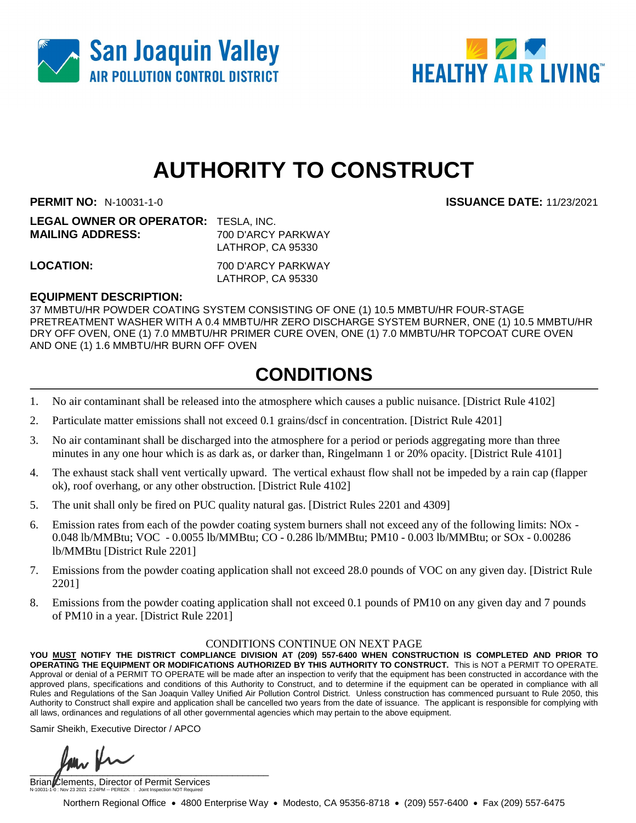



# **AUTHORITY TO CONSTRUCT**

**PERMIT NO:** N-10031-1-0 **ISSUANCE DATE:** 11/23/2021

| <b>LEGAL OWNER OR OPERATOR: TESLA, INC.</b> |                    |
|---------------------------------------------|--------------------|
| <b>MAILING ADDRESS:</b>                     | 700 D'ARCY PARKWAY |
|                                             | LATHROP, CA 95330  |
|                                             |                    |

**LOCATION:** 700 D'ARCY PARKWAY LATHROP, CA 95330

### **EQUIPMENT DESCRIPTION:**

37 MMBTU/HR POWDER COATING SYSTEM CONSISTING OF ONE (1) 10.5 MMBTU/HR FOUR-STAGE PRETREATMENT WASHER WITH A 0.4 MMBTU/HR ZERO DISCHARGE SYSTEM BURNER, ONE (1) 10.5 MMBTU/HR DRY OFF OVEN, ONE (1) 7.0 MMBTU/HR PRIMER CURE OVEN, ONE (1) 7.0 MMBTU/HR TOPCOAT CURE OVEN AND ONE (1) 1.6 MMBTU/HR BURN OFF OVEN

### **CONDITIONS**

- 1. No air contaminant shall be released into the atmosphere which causes a public nuisance. [District Rule 4102]
- 2. Particulate matter emissions shall not exceed 0.1 grains/dscf in concentration. [District Rule 4201]
- 3. No air contaminant shall be discharged into the atmosphere for a period or periods aggregating more than three minutes in any one hour which is as dark as, or darker than, Ringelmann 1 or 20% opacity. [District Rule 4101]
- 4. The exhaust stack shall vent vertically upward. The vertical exhaust flow shall not be impeded by a rain cap (flapper ok), roof overhang, or any other obstruction. [District Rule 4102]
- 5. The unit shall only be fired on PUC quality natural gas. [District Rules 2201 and 4309]
- 6. Emission rates from each of the powder coating system burners shall not exceed any of the following limits: NOx 0.048 lb/MMBtu; VOC - 0.0055 lb/MMBtu; CO - 0.286 lb/MMBtu; PM10 - 0.003 lb/MMBtu; or SOx - 0.00286 lb/MMBtu [District Rule 2201]
- 7. Emissions from the powder coating application shall not exceed 28.0 pounds of VOC on any given day. [District Rule 2201]
- 8. Emissions from the powder coating application shall not exceed 0.1 pounds of PM10 on any given day and 7 pounds of PM10 in a year. [District Rule 2201]

#### CONDITIONS CONTINUE ON NEXT PAGE

**YOU MUST NOTIFY THE DISTRICT COMPLIANCE DIVISION AT (209) 557-6400 WHEN CONSTRUCTION IS COMPLETED AND PRIOR TO OPERATING THE EQUIPMENT OR MODIFICATIONS AUTHORIZED BY THIS AUTHORITY TO CONSTRUCT.** This is NOT a PERMIT TO OPERATE. Approval or denial of a PERMIT TO OPERATE will be made after an inspection to verify that the equipment has been constructed in accordance with the approved plans, specifications and conditions of this Authority to Construct, and to determine if the equipment can be operated in compliance with all Rules and Regulations of the San Joaquin Valley Unified Air Pollution Control District. Unless construction has commenced pursuant to Rule 2050, this Authority to Construct shall expire and application shall be cancelled two years from the date of issuance. The applicant is responsible for complying with all laws, ordinances and regulations of all other governmental agencies which may pertain to the above equipment.

Samir Sheikh, Executive Director / APCO

 $\int$ 

Brian Clements, Director of Permit Services N-10031-1-0 : Nov 23 2021 2:24PM -- PEREZK : Joint Inspection NOT Required

Northern Regional Office • 4800 Enterprise Way • Modesto, CA 95356-8718 • (209) 557-6400 • Fax (209) 557-6475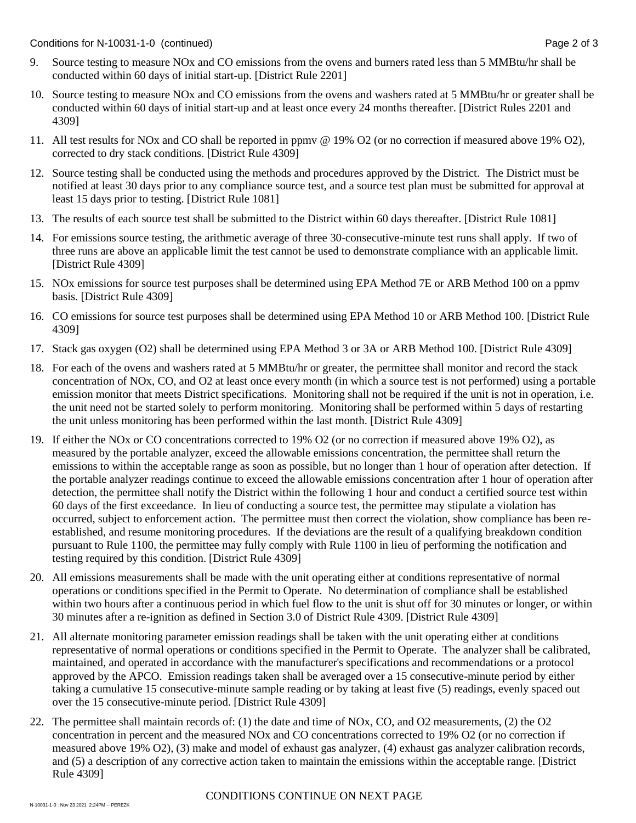- 9. Source testing to measure NOx and CO emissions from the ovens and burners rated less than 5 MMBtu/hr shall be conducted within 60 days of initial start-up. [District Rule 2201]
- 10. Source testing to measure NOx and CO emissions from the ovens and washers rated at 5 MMBtu/hr or greater shall be conducted within 60 days of initial start-up and at least once every 24 months thereafter. [District Rules 2201 and 4309]
- 11. All test results for NOx and CO shall be reported in ppmv @ 19% O2 (or no correction if measured above 19% O2), corrected to dry stack conditions. [District Rule 4309]
- 12. Source testing shall be conducted using the methods and procedures approved by the District. The District must be notified at least 30 days prior to any compliance source test, and a source test plan must be submitted for approval at least 15 days prior to testing. [District Rule 1081]
- 13. The results of each source test shall be submitted to the District within 60 days thereafter. [District Rule 1081]
- 14. For emissions source testing, the arithmetic average of three 30-consecutive-minute test runs shall apply. If two of three runs are above an applicable limit the test cannot be used to demonstrate compliance with an applicable limit. [District Rule 4309]
- 15. NOx emissions for source test purposes shall be determined using EPA Method 7E or ARB Method 100 on a ppmv basis. [District Rule 4309]
- 16. CO emissions for source test purposes shall be determined using EPA Method 10 or ARB Method 100. [District Rule 4309]
- 17. Stack gas oxygen (O2) shall be determined using EPA Method 3 or 3A or ARB Method 100. [District Rule 4309]
- 18. For each of the ovens and washers rated at 5 MMBtu/hr or greater, the permittee shall monitor and record the stack concentration of NOx, CO, and O2 at least once every month (in which a source test is not performed) using a portable emission monitor that meets District specifications. Monitoring shall not be required if the unit is not in operation, i.e. the unit need not be started solely to perform monitoring. Monitoring shall be performed within 5 days of restarting the unit unless monitoring has been performed within the last month. [District Rule 4309]
- 19. If either the NOx or CO concentrations corrected to 19% O2 (or no correction if measured above 19% O2), as measured by the portable analyzer, exceed the allowable emissions concentration, the permittee shall return the emissions to within the acceptable range as soon as possible, but no longer than 1 hour of operation after detection. If the portable analyzer readings continue to exceed the allowable emissions concentration after 1 hour of operation after detection, the permittee shall notify the District within the following 1 hour and conduct a certified source test within 60 days of the first exceedance. In lieu of conducting a source test, the permittee may stipulate a violation has occurred, subject to enforcement action. The permittee must then correct the violation, show compliance has been reestablished, and resume monitoring procedures. If the deviations are the result of a qualifying breakdown condition pursuant to Rule 1100, the permittee may fully comply with Rule 1100 in lieu of performing the notification and testing required by this condition. [District Rule 4309]
- 20. All emissions measurements shall be made with the unit operating either at conditions representative of normal operations or conditions specified in the Permit to Operate. No determination of compliance shall be established within two hours after a continuous period in which fuel flow to the unit is shut off for 30 minutes or longer, or within 30 minutes after a re-ignition as defined in Section 3.0 of District Rule 4309. [District Rule 4309]
- 21. All alternate monitoring parameter emission readings shall be taken with the unit operating either at conditions representative of normal operations or conditions specified in the Permit to Operate. The analyzer shall be calibrated, maintained, and operated in accordance with the manufacturer's specifications and recommendations or a protocol approved by the APCO. Emission readings taken shall be averaged over a 15 consecutive-minute period by either taking a cumulative 15 consecutive-minute sample reading or by taking at least five (5) readings, evenly spaced out over the 15 consecutive-minute period. [District Rule 4309]
- 22. The permittee shall maintain records of: (1) the date and time of NOx, CO, and O2 measurements, (2) the O2 concentration in percent and the measured NOx and CO concentrations corrected to 19% O2 (or no correction if measured above 19% O2), (3) make and model of exhaust gas analyzer, (4) exhaust gas analyzer calibration records, and (5) a description of any corrective action taken to maintain the emissions within the acceptable range. [District Rule 4309]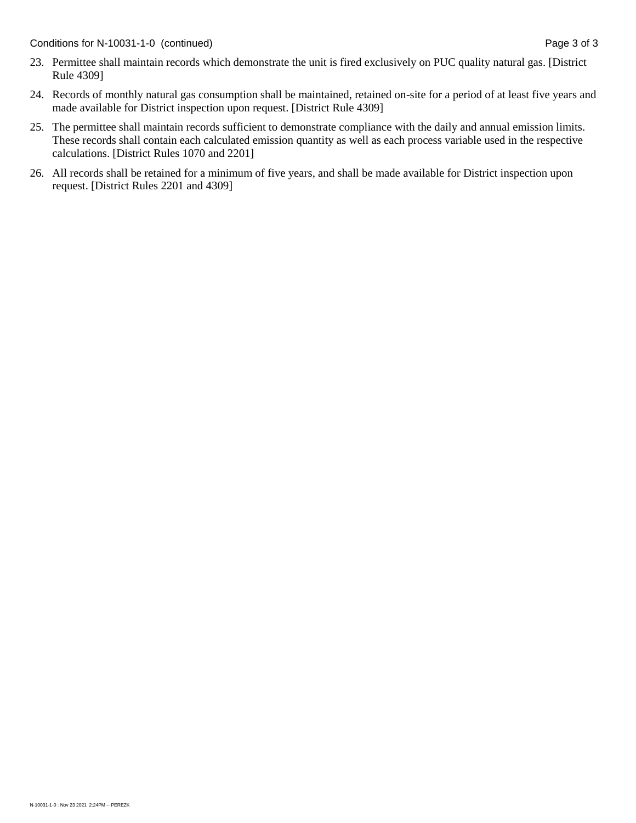- 23. Permittee shall maintain records which demonstrate the unit is fired exclusively on PUC quality natural gas. [District Rule 4309]
- 24. Records of monthly natural gas consumption shall be maintained, retained on-site for a period of at least five years and made available for District inspection upon request. [District Rule 4309]
- 25. The permittee shall maintain records sufficient to demonstrate compliance with the daily and annual emission limits. These records shall contain each calculated emission quantity as well as each process variable used in the respective calculations. [District Rules 1070 and 2201]
- 26. All records shall be retained for a minimum of five years, and shall be made available for District inspection upon request. [District Rules 2201 and 4309]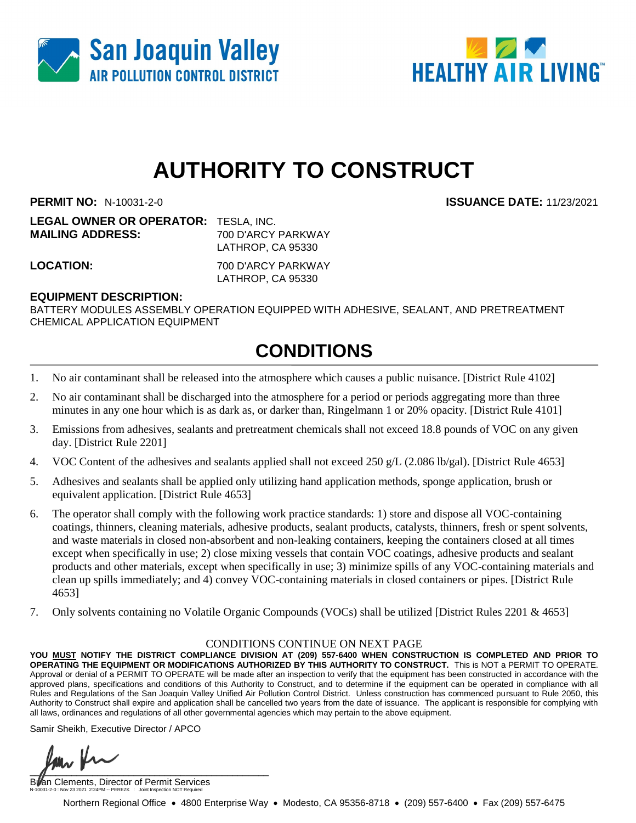



# **AUTHORITY TO CONSTRUCT**

**PERMIT NO:** N-10031-2-0 **ISSUANCE DATE:** 11/23/2021

**LEGAL OWNER OR OPERATOR:** TESLA, INC. **MAILING ADDRESS:** 700 D'ARCY PARKWAY LATHROP, CA 95330

**LOCATION:** 700 D'ARCY PARKWAY LATHROP, CA 95330

### **EQUIPMENT DESCRIPTION:**

BATTERY MODULES ASSEMBLY OPERATION EQUIPPED WITH ADHESIVE, SEALANT, AND PRETREATMENT CHEMICAL APPLICATION EQUIPMENT

### **CONDITIONS**

- 1. No air contaminant shall be released into the atmosphere which causes a public nuisance. [District Rule 4102]
- 2. No air contaminant shall be discharged into the atmosphere for a period or periods aggregating more than three minutes in any one hour which is as dark as, or darker than, Ringelmann 1 or 20% opacity. [District Rule 4101]
- 3. Emissions from adhesives, sealants and pretreatment chemicals shall not exceed 18.8 pounds of VOC on any given day. [District Rule 2201]
- 4. VOC Content of the adhesives and sealants applied shall not exceed 250 g/L (2.086 lb/gal). [District Rule 4653]
- 5. Adhesives and sealants shall be applied only utilizing hand application methods, sponge application, brush or equivalent application. [District Rule 4653]
- 6. The operator shall comply with the following work practice standards: 1) store and dispose all VOC-containing coatings, thinners, cleaning materials, adhesive products, sealant products, catalysts, thinners, fresh or spent solvents, and waste materials in closed non-absorbent and non-leaking containers, keeping the containers closed at all times except when specifically in use; 2) close mixing vessels that contain VOC coatings, adhesive products and sealant products and other materials, except when specifically in use; 3) minimize spills of any VOC-containing materials and clean up spills immediately; and 4) convey VOC-containing materials in closed containers or pipes. [District Rule 4653]
- 7. Only solvents containing no Volatile Organic Compounds (VOCs) shall be utilized [District Rules 2201 & 4653]

#### CONDITIONS CONTINUE ON NEXT PAGE

**YOU MUST NOTIFY THE DISTRICT COMPLIANCE DIVISION AT (209) 557-6400 WHEN CONSTRUCTION IS COMPLETED AND PRIOR TO OPERATING THE EQUIPMENT OR MODIFICATIONS AUTHORIZED BY THIS AUTHORITY TO CONSTRUCT.** This is NOT a PERMIT TO OPERATE. Approval or denial of a PERMIT TO OPERATE will be made after an inspection to verify that the equipment has been constructed in accordance with the approved plans, specifications and conditions of this Authority to Construct, and to determine if the equipment can be operated in compliance with all Rules and Regulations of the San Joaquin Valley Unified Air Pollution Control District. Unless construction has commenced pursuant to Rule 2050, this Authority to Construct shall expire and application shall be cancelled two years from the date of issuance. The applicant is responsible for complying with all laws, ordinances and regulations of all other governmental agencies which may pertain to the above equipment.

Samir Sheikh, Executive Director / APCO

 $\sqrt{1-\frac{1}{2}}$ 

Billan Clements, Director of Permit Services N-10031-2-0 : Nov 23 2021 2:24PM -- PEREZK : Joint Inspection NOT Required

Northern Regional Office • 4800 Enterprise Way • Modesto, CA 95356-8718 • (209) 557-6400 • Fax (209) 557-6475